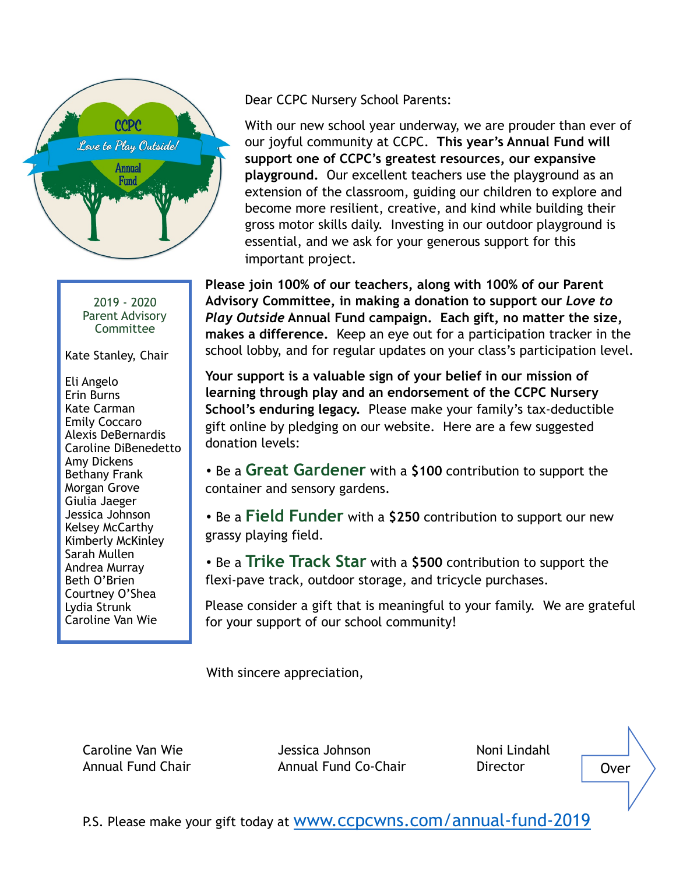

2019 - 2020 Parent Advisory Committee

Kate Stanley, Chair

Eli Angelo Erin Burns Kate Carman Emily Coccaro Alexis DeBernardis Caroline DiBenedetto Amy Dickens Bethany Frank Morgan Grove Giulia Jaeger Jessica Johnson Kelsey McCarthy Kimberly McKinley Sarah Mullen Andrea Murray Beth O'Brien Courtney O'Shea Lydia Strunk Caroline Van Wie

Dear CCPC Nursery School Parents:

With our new school year underway, we are prouder than ever of our joyful community at CCPC. **This year's Annual Fund will support one of CCPC's greatest resources, our expansive playground.** Our excellent teachers use the playground as an extension of the classroom, guiding our children to explore and become more resilient, creative, and kind while building their gross motor skills daily. Investing in our outdoor playground is essential, and we ask for your generous support for this important project.

**Please join 100% of our teachers, along with 100% of our Parent Advisory Committee, in making a donation to support our** *Love to Play Outside* **Annual Fund campaign. Each gift, no matter the size, makes a difference.** Keep an eye out for a participation tracker in the school lobby, and for regular updates on your class's participation level.

**Your support is a valuable sign of your belief in our mission of learning through play and an endorsement of the CCPC Nursery School's enduring legacy.** Please make your family's tax-deductible gift online by pledging on our website. Here are a few suggested donation levels:

• Be a **Great Gardener** with a **\$100** contribution to support the container and sensory gardens.

• Be a **Field Funder** with a **\$250** contribution to support our new grassy playing field.

• Be a **Trike Track Star** with a **\$500** contribution to support the flexi-pave track, outdoor storage, and tricycle purchases.

Please consider a gift that is meaningful to your family. We are grateful for your support of our school community!

With sincere appreciation,

Caroline Van Wie Jessica Johnson Noni Lindahl Annual Fund Chair Annual Fund Co-Chair Director

Over

P.S. Please make your gift today at WWW.CCDCWNS.COM/annual-fund-2019